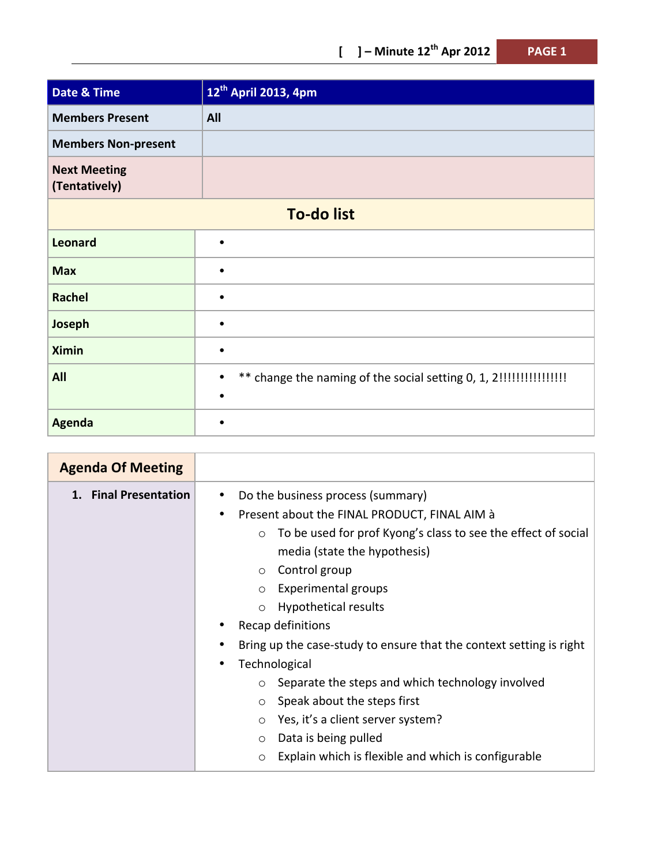| l, |  |
|----|--|
|----|--|

| <b>Date &amp; Time</b>               | 12 <sup>th</sup> April 2013, 4pm |  |
|--------------------------------------|----------------------------------|--|
| <b>Members Present</b>               | All                              |  |
| <b>Members Non-present</b>           |                                  |  |
| <b>Next Meeting</b><br>(Tentatively) |                                  |  |
| <b>To-do list</b>                    |                                  |  |
| <b>Leonard</b>                       |                                  |  |
| <b>Max</b>                           |                                  |  |
| <b>Rachel</b>                        |                                  |  |
| Joseph                               |                                  |  |
| <b>Ximin</b>                         |                                  |  |
| All                                  |                                  |  |
| <b>Agenda</b>                        |                                  |  |

| <b>Agenda Of Meeting</b> |                                                                                                                                                                                                                                                                                                                                                                                                                                                                                                                                                                                                                                                                             |
|--------------------------|-----------------------------------------------------------------------------------------------------------------------------------------------------------------------------------------------------------------------------------------------------------------------------------------------------------------------------------------------------------------------------------------------------------------------------------------------------------------------------------------------------------------------------------------------------------------------------------------------------------------------------------------------------------------------------|
| 1. Final Presentation    | Do the business process (summary)<br>Present about the FINAL PRODUCT, FINAL AIM à<br>٠<br>To be used for prof Kyong's class to see the effect of social<br>$\circ$<br>media (state the hypothesis)<br>$\circ$ Control group<br>Experimental groups<br>$\circ$<br>Hypothetical results<br>$\circ$<br>Recap definitions<br>Bring up the case-study to ensure that the context setting is right<br>Technological<br>Separate the steps and which technology involved<br>$\circ$<br>Speak about the steps first<br>$\circ$<br>Yes, it's a client server system?<br>$\circ$<br>Data is being pulled<br>$\circ$<br>Explain which is flexible and which is configurable<br>$\circ$ |